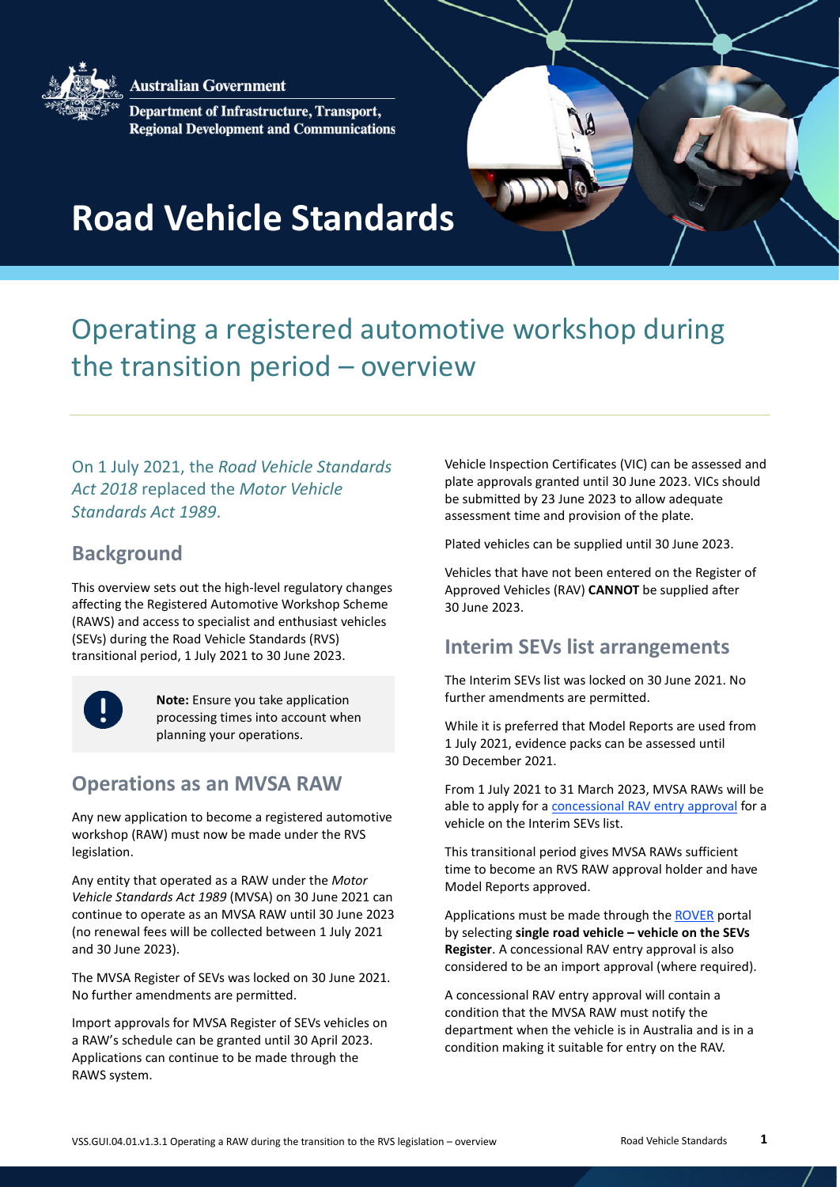**Australian Government** 



Department of Infrastructure, Transport, **Regional Development and Communications** 



# **Road Vehicle Standards**

## Operating a registered automotive workshop during the transition period – overview

On 1 July 2021, the *Road Vehicle Standards Act 2018* replaced the *Motor Vehicle Standards Act 1989*.

#### **Background**

This overview sets out the high-level regulatory changes affecting the Registered Automotive Workshop Scheme (RAWS) and access to specialist and enthusiast vehicles (SEVs) during the Road Vehicle Standards (RVS) transitional period, 1 July 2021 to 30 June 2023.



**Note:** Ensure you take application processing times into account when planning your operations.

#### **Operations as an MVSA RAW**

Any new application to become a registered automotive workshop (RAW) must now be made under the RVS legislation.

Any entity that operated as a RAW under the *Motor Vehicle Standards Act 1989* (MVSA) on 30 June 2021 can continue to operate as an MVSA RAW until 30 June 2023 (no renewal fees will be collected between 1 July 2021 and 30 June 2023).

The MVSA Register of SEVs was locked on 30 June 2021. No further amendments are permitted.

Import approvals for MVSA Register of SEVs vehicles on a RAW's schedule can be granted until 30 April 2023. Applications can continue to be made through the RAWS system.

Vehicle Inspection Certificates (VIC) can be assessed and plate approvals granted until 30 June 2023. VICs should be submitted by 23 June 2023 to allow adequate assessment time and provision of the plate.

Plated vehicles can be supplied until 30 June 2023.

Vehicles that have not been entered on the Register of Approved Vehicles (RAV) **CANNOT** be supplied after 30 June 2023.

#### **Interim SEVs list arrangements**

The Interim SEVs list was locked on 30 June 2021. No further amendments are permitted.

While it is preferred that Model Reports are used from 1 July 2021, evidence packs can be assessed until 30 December 2021.

From 1 July 2021 to 31 March 2023, MVSA RAWs will be able to apply for a [concessional RAV entry approval](https://www.infrastructure.gov.au/vehicles/imports/concessional-rav-entry-approvals.aspx) for a vehicle on the Interim SEVs list.

This transitional period gives MVSA RAWs sufficient time to become an RVS RAW approval holder and have Model Reports approved.

Applications must be made through th[e ROVER](https://rover.infrastructure.gov.au/) portal by selecting **single road vehicle – vehicle on the SEVs Register**. A concessional RAV entry approval is also considered to be an import approval (where required).

A concessional RAV entry approval will contain a condition that the MVSA RAW must notify the department when the vehicle is in Australia and is in a condition making it suitable for entry on the RAV.